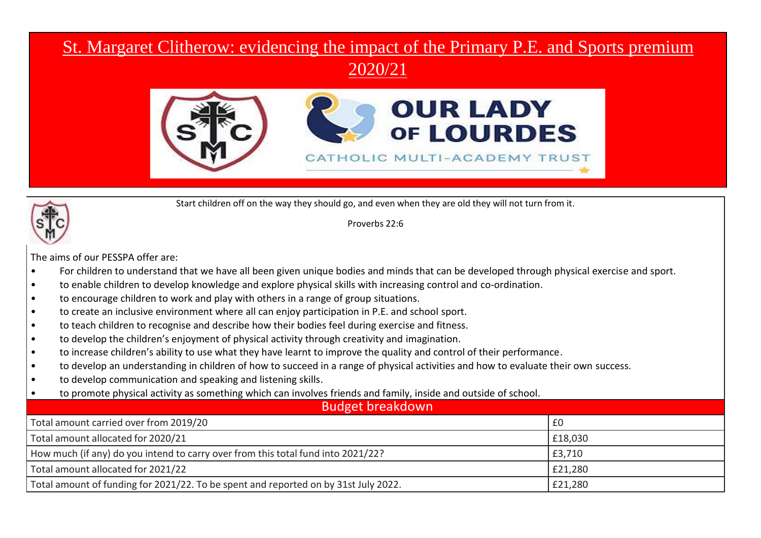## St. Margaret Clitherow: evidencing the impact of the Primary P.E. and Sports premium

2020/21



Start children off on the way they should go, and even when they are old they will not turn from it.

Proverbs 22:6

The aims of our PESSPA offer are:

- For children to understand that we have all been given unique bodies and minds that can be developed through physical exercise and sport.
- to enable children to develop knowledge and explore physical skills with increasing control and co-ordination.
- to encourage children to work and play with others in a range of group situations.
- to create an inclusive environment where all can enjoy participation in P.E. and school sport.
- to teach children to recognise and describe how their bodies feel during exercise and fitness.
- to develop the children's enjoyment of physical activity through creativity and imagination.
- to increase children's ability to use what they have learnt to improve the quality and control of their performance.
- to develop an understanding in children of how to succeed in a range of physical activities and how to evaluate their own success.
- to develop communication and speaking and listening skills.
- to promote physical activity as something which can involves friends and family, inside and outside of school.

| <b>Budget breakdown</b>                                                             |         |  |  |
|-------------------------------------------------------------------------------------|---------|--|--|
| Total amount carried over from 2019/20                                              | l £0    |  |  |
| Total amount allocated for 2020/21                                                  | £18,030 |  |  |
| How much (if any) do you intend to carry over from this total fund into 2021/22?    | £3,710  |  |  |
| Total amount allocated for 2021/22                                                  | £21,280 |  |  |
| Total amount of funding for 2021/22. To be spent and reported on by 31st July 2022. | £21,280 |  |  |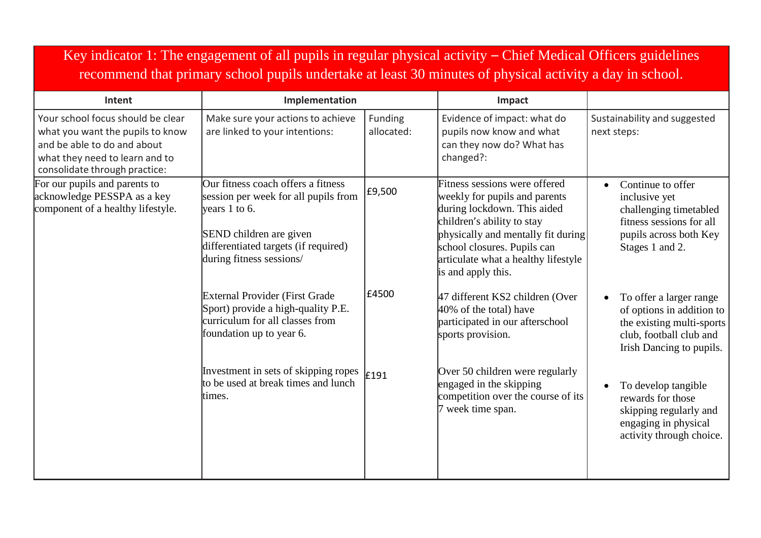| Key indicator 1: The engagement of all pupils in regular physical activity $-$ Chief Medical Officers guidelines<br>recommend that primary school pupils undertake at least 30 minutes of physical activity a day in school. |                                                                                                                                                                                              |                       |                                                                                                                                                                                                                                                               |                                                                                                                                                    |
|------------------------------------------------------------------------------------------------------------------------------------------------------------------------------------------------------------------------------|----------------------------------------------------------------------------------------------------------------------------------------------------------------------------------------------|-----------------------|---------------------------------------------------------------------------------------------------------------------------------------------------------------------------------------------------------------------------------------------------------------|----------------------------------------------------------------------------------------------------------------------------------------------------|
| Intent                                                                                                                                                                                                                       | Implementation                                                                                                                                                                               |                       | Impact                                                                                                                                                                                                                                                        |                                                                                                                                                    |
| Your school focus should be clear<br>what you want the pupils to know<br>and be able to do and about<br>what they need to learn and to<br>consolidate through practice:                                                      | Make sure your actions to achieve<br>are linked to your intentions:                                                                                                                          | Funding<br>allocated: | Evidence of impact: what do<br>pupils now know and what<br>can they now do? What has<br>changed?:                                                                                                                                                             | Sustainability and suggested<br>next steps:                                                                                                        |
| For our pupils and parents to<br>acknowledge PESSPA as a key<br>component of a healthy lifestyle.                                                                                                                            | Our fitness coach offers a fitness<br>session per week for all pupils from<br>years $1$ to 6.<br>SEND children are given<br>differentiated targets (if required)<br>during fitness sessions/ | £9,500                | Fitness sessions were offered<br>weekly for pupils and parents<br>during lockdown. This aided<br>children's ability to stay<br>physically and mentally fit during<br>school closures. Pupils can<br>articulate what a healthy lifestyle<br>is and apply this. | Continue to offer<br>$\bullet$<br>inclusive yet<br>challenging timetabled<br>fitness sessions for all<br>pupils across both Key<br>Stages 1 and 2. |
|                                                                                                                                                                                                                              | <b>External Provider (First Grade</b> )<br>Sport) provide a high-quality P.E.<br>curriculum for all classes from<br>foundation up to year 6.                                                 | £4500                 | 47 different KS2 children (Over<br>40% of the total) have<br>participated in our afterschool<br>sports provision.                                                                                                                                             | To offer a larger range<br>of options in addition to<br>the existing multi-sports<br>club, football club and<br>Irish Dancing to pupils.           |
|                                                                                                                                                                                                                              | Investment in sets of skipping ropes<br>to be used at break times and lunch<br>times.                                                                                                        | £191                  | Over 50 children were regularly<br>engaged in the skipping<br>competition over the course of its<br>7 week time span.                                                                                                                                         | To develop tangible<br>$\bullet$<br>rewards for those<br>skipping regularly and<br>engaging in physical<br>activity through choice.                |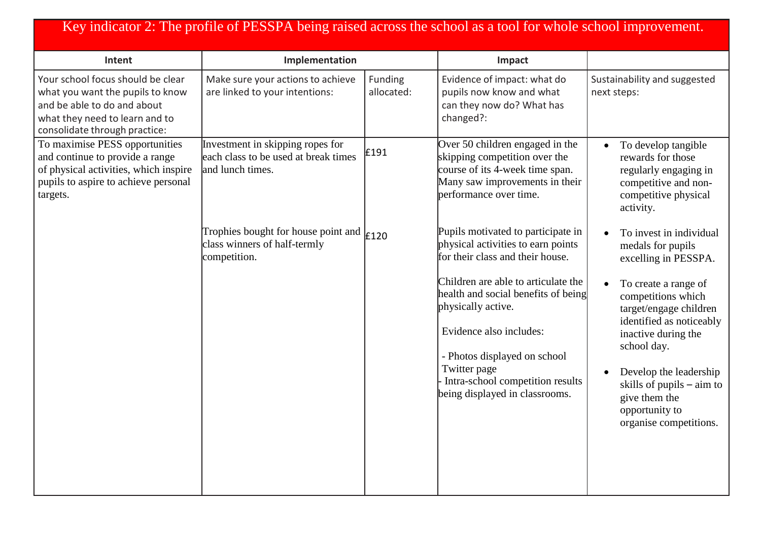## Key indicator 2: The profile of PESSPA being raised across the school as a tool for whole school improvement.

| Intent                                                                                                                                                                  | Implementation                                                                                            |                       | Impact                                                                                                                                                                                                                                            |                                                                                                                                                                                                                                                                           |
|-------------------------------------------------------------------------------------------------------------------------------------------------------------------------|-----------------------------------------------------------------------------------------------------------|-----------------------|---------------------------------------------------------------------------------------------------------------------------------------------------------------------------------------------------------------------------------------------------|---------------------------------------------------------------------------------------------------------------------------------------------------------------------------------------------------------------------------------------------------------------------------|
| Your school focus should be clear<br>what you want the pupils to know<br>and be able to do and about<br>what they need to learn and to<br>consolidate through practice: | Make sure your actions to achieve<br>are linked to your intentions:                                       | Funding<br>allocated: | Evidence of impact: what do<br>pupils now know and what<br>can they now do? What has<br>changed?:                                                                                                                                                 | Sustainability and suggested<br>next steps:                                                                                                                                                                                                                               |
| To maximise PESS opportunities<br>and continue to provide a range<br>of physical activities, which inspire<br>pupils to aspire to achieve personal<br>targets.          | Investment in skipping ropes for<br>each class to be used at break times<br>and lunch times.              | £191                  | Over 50 children engaged in the<br>skipping competition over the<br>course of its 4-week time span.<br>Many saw improvements in their<br>performance over time.                                                                                   | To develop tangible<br>$\bullet$<br>rewards for those<br>regularly engaging in<br>competitive and non-<br>competitive physical<br>activity.                                                                                                                               |
|                                                                                                                                                                         | Trophies bought for house point and $\vert_{\text{E120}}$<br>class winners of half-termly<br>competition. |                       | Pupils motivated to participate in<br>physical activities to earn points<br>for their class and their house.                                                                                                                                      | To invest in individual<br>$\bullet$<br>medals for pupils<br>excelling in PESSPA.                                                                                                                                                                                         |
|                                                                                                                                                                         |                                                                                                           |                       | Children are able to articulate the<br>health and social benefits of being<br>physically active.<br>Evidence also includes:<br>- Photos displayed on school<br>Twitter page<br>Intra-school competition results<br>being displayed in classrooms. | To create a range of<br>$\bullet$<br>competitions which<br>target/engage children<br>identified as noticeably<br>inactive during the<br>school day.<br>Develop the leadership<br>skills of pupils $-$ aim to<br>give them the<br>opportunity to<br>organise competitions. |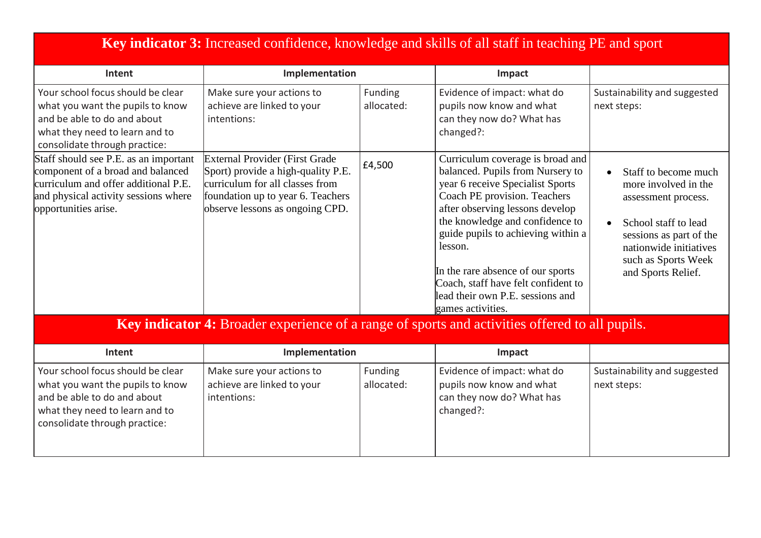| Key indicator 3: Increased confidence, knowledge and skills of all staff in teaching PE and sport                                                                                  |                                                                                                                                                                                        |                       |                                                                                                                                                                                                                                                                                                                                                                                                      |                                                                                                                                                                                               |
|------------------------------------------------------------------------------------------------------------------------------------------------------------------------------------|----------------------------------------------------------------------------------------------------------------------------------------------------------------------------------------|-----------------------|------------------------------------------------------------------------------------------------------------------------------------------------------------------------------------------------------------------------------------------------------------------------------------------------------------------------------------------------------------------------------------------------------|-----------------------------------------------------------------------------------------------------------------------------------------------------------------------------------------------|
| Intent                                                                                                                                                                             | Implementation                                                                                                                                                                         |                       | Impact                                                                                                                                                                                                                                                                                                                                                                                               |                                                                                                                                                                                               |
| Your school focus should be clear<br>what you want the pupils to know<br>and be able to do and about<br>what they need to learn and to<br>consolidate through practice:            | Make sure your actions to<br>achieve are linked to your<br>intentions:                                                                                                                 | Funding<br>allocated: | Evidence of impact: what do<br>pupils now know and what<br>can they now do? What has<br>changed?:                                                                                                                                                                                                                                                                                                    | Sustainability and suggested<br>next steps:                                                                                                                                                   |
| Staff should see P.E. as an important<br>component of a broad and balanced<br>curriculum and offer additional P.E.<br>and physical activity sessions where<br>opportunities arise. | <b>External Provider (First Grade</b><br>Sport) provide a high-quality P.E.<br>curriculum for all classes from<br>foundation up to year 6. Teachers<br>observe lessons as ongoing CPD. | £4,500                | Curriculum coverage is broad and<br>balanced. Pupils from Nursery to<br>year 6 receive Specialist Sports<br>Coach PE provision. Teachers<br>after observing lessons develop<br>the knowledge and confidence to<br>guide pupils to achieving within a<br>lesson.<br>In the rare absence of our sports<br>Coach, staff have felt confident to<br>lead their own P.E. sessions and<br>games activities. | Staff to become much<br>more involved in the<br>assessment process.<br>School staff to lead<br>sessions as part of the<br>nationwide initiatives<br>such as Sports Week<br>and Sports Relief. |
| <b>Key indicator 4:</b> Broader experience of a range of sports and activities offered to all pupils.                                                                              |                                                                                                                                                                                        |                       |                                                                                                                                                                                                                                                                                                                                                                                                      |                                                                                                                                                                                               |
| Intent                                                                                                                                                                             | Implementation                                                                                                                                                                         |                       | Impact                                                                                                                                                                                                                                                                                                                                                                                               |                                                                                                                                                                                               |
| Your school focus should be clear<br>what you want the pupils to know<br>and be able to do and about<br>what they need to learn and to<br>consolidate through practice:            | Make sure your actions to<br>achieve are linked to your<br>intentions:                                                                                                                 | Funding<br>allocated: | Evidence of impact: what do<br>pupils now know and what<br>can they now do? What has<br>changed?:                                                                                                                                                                                                                                                                                                    | Sustainability and suggested<br>next steps:                                                                                                                                                   |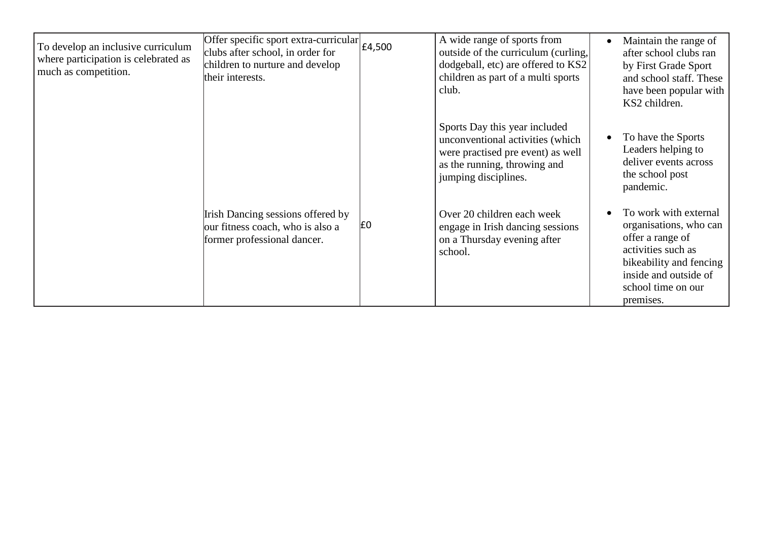| To develop an inclusive curriculum<br>where participation is celebrated as<br>much as competition. | Offer specific sport extra-curricular<br>clubs after school, in order for<br>children to nurture and develop<br>their interests. | £4,500         | A wide range of sports from<br>outside of the curriculum (curling,<br>dodgeball, etc) are offered to KS2<br>children as part of a multi sports<br>club.        | Maintain the range of<br>after school clubs ran<br>by First Grade Sport<br>and school staff. These<br>have been popular with<br>KS2 children.                                    |
|----------------------------------------------------------------------------------------------------|----------------------------------------------------------------------------------------------------------------------------------|----------------|----------------------------------------------------------------------------------------------------------------------------------------------------------------|----------------------------------------------------------------------------------------------------------------------------------------------------------------------------------|
|                                                                                                    |                                                                                                                                  |                | Sports Day this year included<br>unconventional activities (which<br>were practised pre event) as well<br>as the running, throwing and<br>jumping disciplines. | To have the Sports<br>Leaders helping to<br>deliver events across<br>the school post<br>pandemic.                                                                                |
|                                                                                                    | Irish Dancing sessions offered by<br>our fitness coach, who is also a<br>former professional dancer.                             | E <sub>0</sub> | Over 20 children each week<br>engage in Irish dancing sessions<br>on a Thursday evening after<br>school.                                                       | To work with external<br>organisations, who can<br>offer a range of<br>activities such as<br>bikeability and fencing<br>inside and outside of<br>school time on our<br>premises. |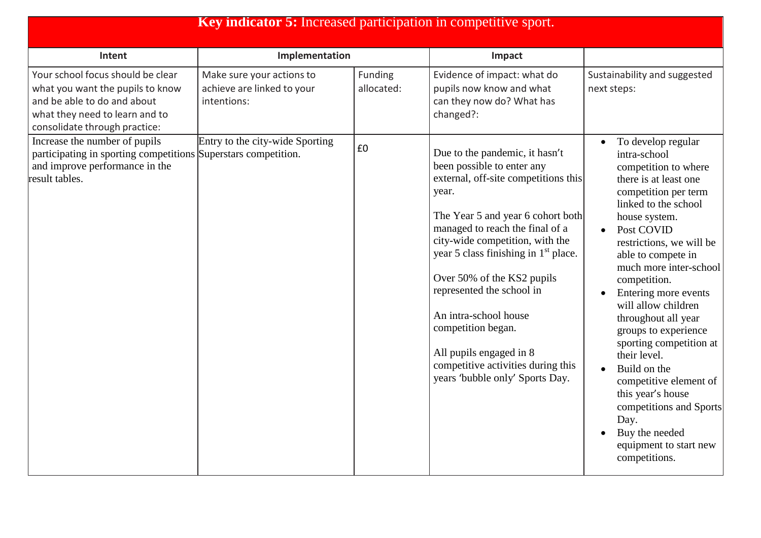| <b>Key indicator 5:</b> Increased participation in competitive sport.                                                                                                   |                                                                        |                       |                                                                                                                                                                                                                                                                                                                                                                                                                                                                                            |                                                                                                                                                                                                                                                                                                                                                                                                                                                                                                                                                                        |
|-------------------------------------------------------------------------------------------------------------------------------------------------------------------------|------------------------------------------------------------------------|-----------------------|--------------------------------------------------------------------------------------------------------------------------------------------------------------------------------------------------------------------------------------------------------------------------------------------------------------------------------------------------------------------------------------------------------------------------------------------------------------------------------------------|------------------------------------------------------------------------------------------------------------------------------------------------------------------------------------------------------------------------------------------------------------------------------------------------------------------------------------------------------------------------------------------------------------------------------------------------------------------------------------------------------------------------------------------------------------------------|
| Intent                                                                                                                                                                  | Implementation                                                         |                       | Impact                                                                                                                                                                                                                                                                                                                                                                                                                                                                                     |                                                                                                                                                                                                                                                                                                                                                                                                                                                                                                                                                                        |
| Your school focus should be clear<br>what you want the pupils to know<br>and be able to do and about<br>what they need to learn and to<br>consolidate through practice: | Make sure your actions to<br>achieve are linked to your<br>intentions: | Funding<br>allocated: | Evidence of impact: what do<br>pupils now know and what<br>can they now do? What has<br>changed?:                                                                                                                                                                                                                                                                                                                                                                                          | Sustainability and suggested<br>next steps:                                                                                                                                                                                                                                                                                                                                                                                                                                                                                                                            |
| Increase the number of pupils<br>participating in sporting competitions Superstars competition.<br>and improve performance in the<br>result tables.                     | Entry to the city-wide Sporting                                        | £0                    | Due to the pandemic, it hasn't<br>been possible to enter any<br>external, off-site competitions this<br>year.<br>The Year 5 and year 6 cohort both<br>managed to reach the final of a<br>city-wide competition, with the<br>year 5 class finishing in 1 <sup>st</sup> place.<br>Over 50% of the KS2 pupils<br>represented the school in<br>An intra-school house<br>competition began.<br>All pupils engaged in 8<br>competitive activities during this<br>years 'bubble only' Sports Day. | To develop regular<br>intra-school<br>competition to where<br>there is at least one<br>competition per term<br>linked to the school<br>house system.<br>Post COVID<br>restrictions, we will be<br>able to compete in<br>much more inter-school<br>competition.<br>Entering more events<br>will allow children<br>throughout all year<br>groups to experience<br>sporting competition at<br>their level.<br>Build on the<br>competitive element of<br>this year's house<br>competitions and Sports<br>Day.<br>Buy the needed<br>equipment to start new<br>competitions. |